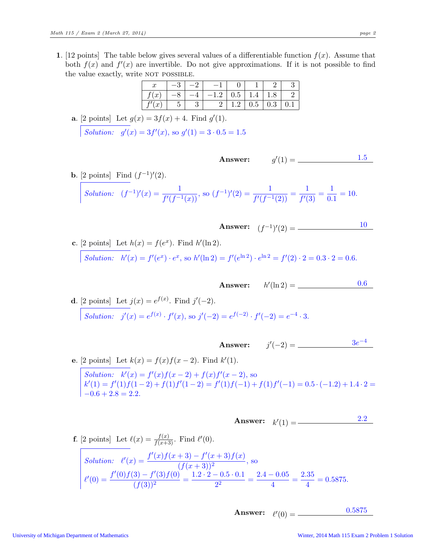1. [12 points] The table below gives several values of a differentiable function  $f(x)$ . Assume that both  $f(x)$  and  $f'(x)$  are invertible. Do not give approximations. If it is not possible to find the value exactly, write NOT POSSIBLE.

| $\boldsymbol{x}$       | $-\circ$ |          |     |         |     |     |
|------------------------|----------|----------|-----|---------|-----|-----|
| (x <sup>0</sup> )<br>J |          | റ<br>⊥.∠ | 0.5 | r.+     | 1.0 |     |
| $\boldsymbol{x}$       | ◡        |          |     | $0.5\,$ | 0.3 | U.I |

**a.** [2 points] Let 
$$
g(x) = 3f(x) + 4
$$
. Find  $g'(1)$ .  
\nSolution:  $g'(x) = 3f'(x)$ , so  $g'(1) = 3 \cdot 0.5 = 1.5$ 

**b.** [2 points] Find  $(f^{-1})'(2)$ . Solution:  $(f^{-1})'(x) = \frac{1}{f'(f^{-1}(x))}$ , so  $(f^{-1})'(2) = \frac{1}{f'(f^{-1}(2))} = \frac{1}{f'(2)}$  $\frac{1}{f'(3)}=\frac{1}{0}$  $\frac{1}{0.1} = 10.$ 

Answer:

c. [2 points] Let 
$$
h(x) = f(e^x)
$$
. Find  $h'(\ln 2)$ .  
\nSolution:  $h'(x) = f'(e^x) \cdot e^x$ , so  $h'(\ln 2) = f'(e^{\ln 2}) \cdot e^{\ln 2} = f'(2) \cdot 2 = 0.3 \cdot 2 = 0.6$ .

**Answer:**  $h'(\ln 2) =$  <u>0.6</u>

**Answer:**  $(f^{-1})'(2) =$  10

 $\prime(1) = \underline{\hspace{1cm}1.5}$ 

**d**. [2 points] Let  $j(x) = e^{f(x)}$ . Find  $j'(-2)$ . Solution:  $j'(x) = e^{f(x)} \cdot f'(x)$ , so  $j'(-2) = e^{f(-2)} \cdot f'(-2) = e^{-4} \cdot 3$ .

Answer: j ′ (−2) = 3e −4

e. [2 points] Let  $k(x) = f(x)f(x-2)$ . Find  $k'(1)$ . Solution:  $k'(x) = f'(x)f(x-2) + f(x)f'(x-2)$ , so  $k'(1) = f'(1) f(1-2) + f(1) f'(1-2) = f'(1) f(-1) + f(1) f'(-1) = 0.5 \cdot (-1.2) + 1.4 \cdot 2 =$  $-0.6 + 2.8 = 2.2.$ 

$$
Answer: k'(1) = \underline{\hspace{2cm}} \underline{\hspace{2cm}} \underline{\hspace{2cm}} \underline{\hspace{2cm}} \underline{\hspace{2cm}} \underline{\hspace{2cm}} \underline{\hspace{2cm}} \underline{\hspace{2cm}} \underline{\hspace{2cm}} \underline{\hspace{2cm}} \underline{\hspace{2cm}} \underline{\hspace{2cm}} \underline{\hspace{2cm}} \underline{\hspace{2cm}} \underline{\hspace{2cm}} \underline{\hspace{2cm}} \underline{\hspace{2cm}} \underline{\hspace{2cm}} \underline{\hspace{2cm}} \underline{\hspace{2cm}} \underline{\hspace{2cm}} \underline{\hspace{2cm}} \underline{\hspace{2cm}} \underline{\hspace{2cm}} \underline{\hspace{2cm}} \underline{\hspace{2cm}} \underline{\hspace{2cm}} \underline{\hspace{2cm}} \underline{\hspace{2cm}} \underline{\hspace{2cm}} \underline{\hspace{2cm}} \underline{\hspace{2cm}} \underline{\hspace{2cm}} \underline{\hspace{2cm}} \underline{\hspace{2cm}} \underline{\hspace{2cm}} \underline{\hspace{2cm}} \underline{\hspace{2cm}} \underline{\hspace{2cm}} \underline{\hspace{2cm}} \underline{\hspace{2cm}} \underline{\hspace{2cm}} \underline{\hspace{2cm}} \underline{\hspace{2cm}} \underline{\hspace{2cm}} \underline{\hspace{2cm}} \underline{\hspace{2cm}} \underline{\hspace{2cm}} \underline{\hspace{2cm}} \underline{\hspace{2cm}} \underline{\hspace{2cm}} \underline{\hspace{2cm}} \underline{\hspace{2cm}} \underline{\hspace{2cm}} \underline{\hspace{2cm}} \underline{\hspace{2cm}} \underline{\hspace{2cm}} \underline{\hspace{2cm}} \underline{\hspace{2cm}} \underline{\hspace{2cm}} \underline{\hspace{2cm}} \underline{\hspace{2cm}} \underline{\hspace{2cm}} \underline{\hspace{2cm}} \underline{\hspace{2cm}} \underline{\hspace{2cm}} \underline{\hspace{2cm}} \underline{\hspace{2cm}} \underline{\hspace{2cm}} \underline{\hspace{2cm}} \underline{\hspace{2cm}} \underline{\hspace{2cm}} \underline{\hspace{2cm}} \underline{\hspace{2cm}} \underline{\hspace{2cm}} \underline{\hspace{2cm}} \underline{\hspace{2cm}} \underline{\hspace{2cm}} \underline{\hspace{2cm}} \underline{\hspace{2cm}} \underline{\hspace{2cm}} \underline{\hspace{2cm}} \underline{\hspace{2cm}} \
$$

**f.** [2 points] Let 
$$
\ell(x) = \frac{f(x)}{f(x+3)}
$$
. Find  $\ell'(0)$ .  
\nSolution:  $\ell'(x) = \frac{f'(x)f(x+3) - f'(x+3)f(x)}{(f(x+3))^2}$ , so  
\n
$$
\ell'(0) = \frac{f'(0)f(3) - f'(3)f(0)}{(f(3))^2} = \frac{1.2 \cdot 2 - 0.5 \cdot 0.1}{2^2} = \frac{2.4 - 0.05}{4} = \frac{2.35}{4} = 0.5875.
$$

$$
Answer: \t\ell'(0) = \t\begin{array}{|c|c|}\n0.5875 \\
\hline\n\end{array}
$$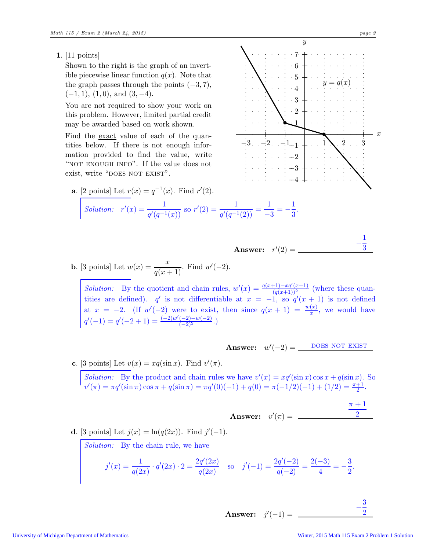1. [11 points]

Shown to the right is the graph of an invertible piecewise linear function  $q(x)$ . Note that the graph passes through the points  $(-3, 7)$ ,  $(-1, 1), (1, 0), \text{ and } (3, -4).$ 

You are not required to show your work on this problem. However, limited partial credit may be awarded based on work shown.

Find the exact value of each of the quantities below. If there is not enough information provided to find the value, write "NOT ENOUGH INFO". If the value does not exist, write "DOES NOT EXIST".

**a.** [2 points] Let 
$$
r(x) = q^{-1}(x)
$$
. Find  $r'(2)$ .  
\nSolution:  $r'(x) = \frac{1}{q'(q^{-1}(x))}$  so  $r'(2) = \frac{1}{q'(q^{-1}(2))} = \frac{1}{-3}$ 

Answer: 
$$
r'(2) =
$$
  
b. [3 points] Let  $w(x) = \frac{x}{q(x+1)}$ . Find  $w'(-2)$ .

Solution: By the quotient and chain rules,  $w'(x) = \frac{q(x+1)-xq'(x+1)}{(q(x+1))^2}$  (where these quantities are defined).  $q'$  is not differentiable at  $x = -1$ , so  $q'(x+1)$  is not defined at  $x = -2$ . (If  $w'(-2)$  were to exist, then since  $q(x + 1) = \frac{w(x)}{x}$ , we would have  $q'(-1) = q'(-2+1) = \frac{(-2)w'(-2)-w(-2)}{(-2)^2}$ .

**Answer:** 
$$
w'(-2) = \_
$$
 **DOES NOT EXIST**

c. [3 points] Let  $v(x) = xq(\sin x)$ . Find  $v'(\pi)$ .

Solution: By the product and chain rules we have  $v'(x) = xq'(\sin x) \cos x + q(\sin x)$ . So  $v'(\pi) = \pi q'(\sin \pi) \cos \pi + q(\sin \pi) = \pi q'(0)(-1) + q(0) = \pi(-1/2)(-1) + (1/2) = \frac{\pi+1}{2}.$ 

Answer: 
$$
v'(\pi) = \frac{\pi + 1}{2}
$$

**d**. [3 points] Let 
$$
j(x) = \ln(q(2x))
$$
. Find  $j'(-1)$ .

Solution: By the chain rule, we have

$$
j'(x) = \frac{1}{q(2x)} \cdot q'(2x) \cdot 2 = \frac{2q'(2x)}{q(2x)}
$$
 so  $j'(-1) = \frac{2q'(-2)}{q(-2)} = \frac{2(-3)}{4} = -\frac{3}{2}$ .

**Answer:** 
$$
j'(-1) = \frac{-\frac{3}{2}}{}
$$

− 1 3

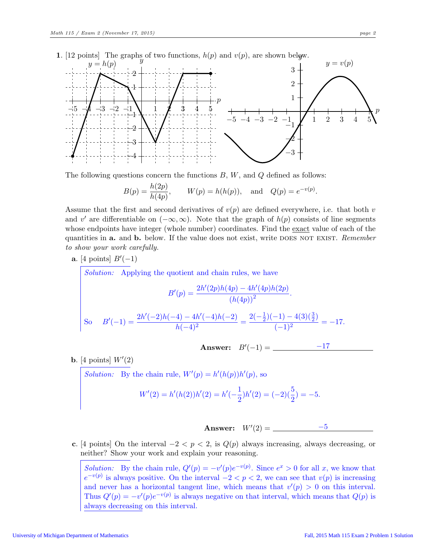

The following questions concern the functions  $B, W$ , and  $Q$  defined as follows:

$$
B(p) = \frac{h(2p)}{h(4p)},
$$
  $W(p) = h(h(p)),$  and  $Q(p) = e^{-v(p)}.$ 

Assume that the first and second derivatives of  $v(p)$  are defined everywhere, i.e. that both v and v' are differentiable on  $(-\infty,\infty)$ . Note that the graph of  $h(p)$  consists of line segments whose endpoints have integer (whole number) coordinates. Find the <u>exact</u> value of each of the quantities in a. and b. below. If the value does not exist, write does not exist. *Remember to show your work carefully.*

a. [4 points]  $B'(-1)$ 

*Solution:* Applying the quotient and chain rules, we have

$$
B'(p) = \frac{2h'(2p)h(4p) - 4h'(4p)h(2p)}{(h(4p))^2}.
$$
  
So 
$$
B'(-1) = \frac{2h'(-2)h(-4) - 4h'(-4)h(-2)}{h(-4)^2} = \frac{2(-\frac{1}{2})(-1) - 4(3)(\frac{3}{2})}{(-1)^2} = -17.
$$

**Answer:** 
$$
B'(-1) = \underline{\hspace{2cm} -17}
$$

**b.** [4 points]  $W'(2)$ 

*Solution:* By the chain rule,  $W'(p) = h'(h(p))h'(p)$ , so

$$
W'(2) = h'(h(2))h'(2) = h'(-\frac{1}{2})h'(2) = (-2)(\frac{5}{2}) = -5.
$$



c. [4 points] On the interval  $-2 < p < 2$ , is  $Q(p)$  always increasing, always decreasing, or neither? Show your work and explain your reasoning.

*Solution:* By the chain rule,  $Q'(p) = -v'(p)e^{-v(p)}$ . Since  $e^x > 0$  for all x, we know that  $e^{-v(p)}$  is always positive. On the interval  $-2 < p < 2$ , we can see that  $v(p)$  is increasing and never has a horizontal tangent line, which means that  $v'(p) > 0$  on this interval. Thus  $Q'(p) = -v'(p)e^{-v(p)}$  is always negative on that interval, which means that  $Q(p)$  is always decreasing on this interval.